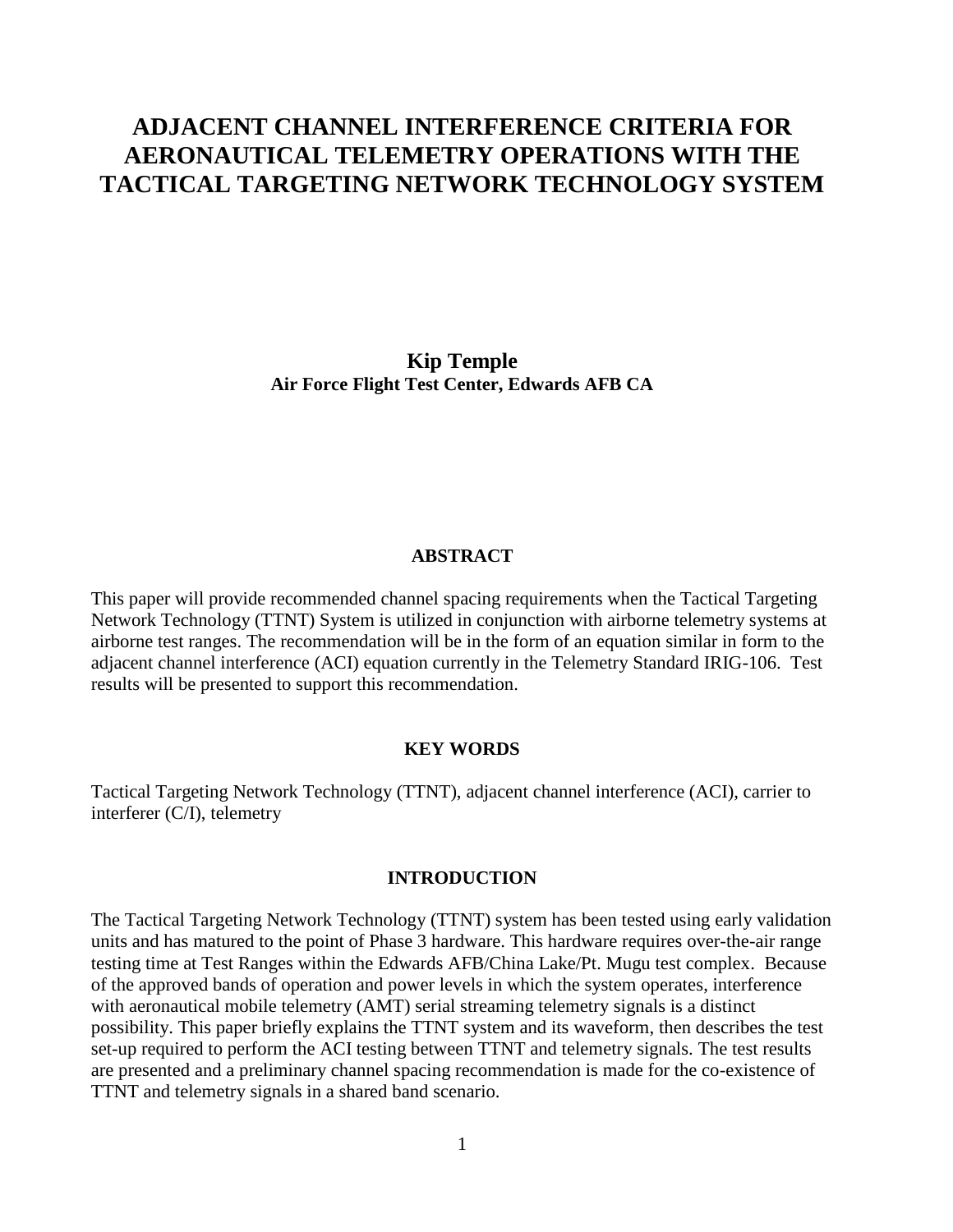# **ADJACENT CHANNEL INTERFERENCE CRITERIA FOR AERONAUTICAL TELEMETRY OPERATIONS WITH THE TACTICAL TARGETING NETWORK TECHNOLOGY SYSTEM**

**Kip Temple Air Force Flight Test Center, Edwards AFB CA**

### **ABSTRACT**

This paper will provide recommended channel spacing requirements when the Tactical Targeting Network Technology (TTNT) System is utilized in conjunction with airborne telemetry systems at airborne test ranges. The recommendation will be in the form of an equation similar in form to the adjacent channel interference (ACI) equation currently in the Telemetry Standard IRIG-106. Test results will be presented to support this recommendation.

#### **KEY WORDS**

Tactical Targeting Network Technology (TTNT), adjacent channel interference (ACI), carrier to interferer (C/I), telemetry

#### **INTRODUCTION**

The Tactical Targeting Network Technology (TTNT) system has been tested using early validation units and has matured to the point of Phase 3 hardware. This hardware requires over-the-air range testing time at Test Ranges within the Edwards AFB/China Lake/Pt. Mugu test complex. Because of the approved bands of operation and power levels in which the system operates, interference with aeronautical mobile telemetry (AMT) serial streaming telemetry signals is a distinct possibility. This paper briefly explains the TTNT system and its waveform, then describes the test set-up required to perform the ACI testing between TTNT and telemetry signals. The test results are presented and a preliminary channel spacing recommendation is made for the co-existence of TTNT and telemetry signals in a shared band scenario.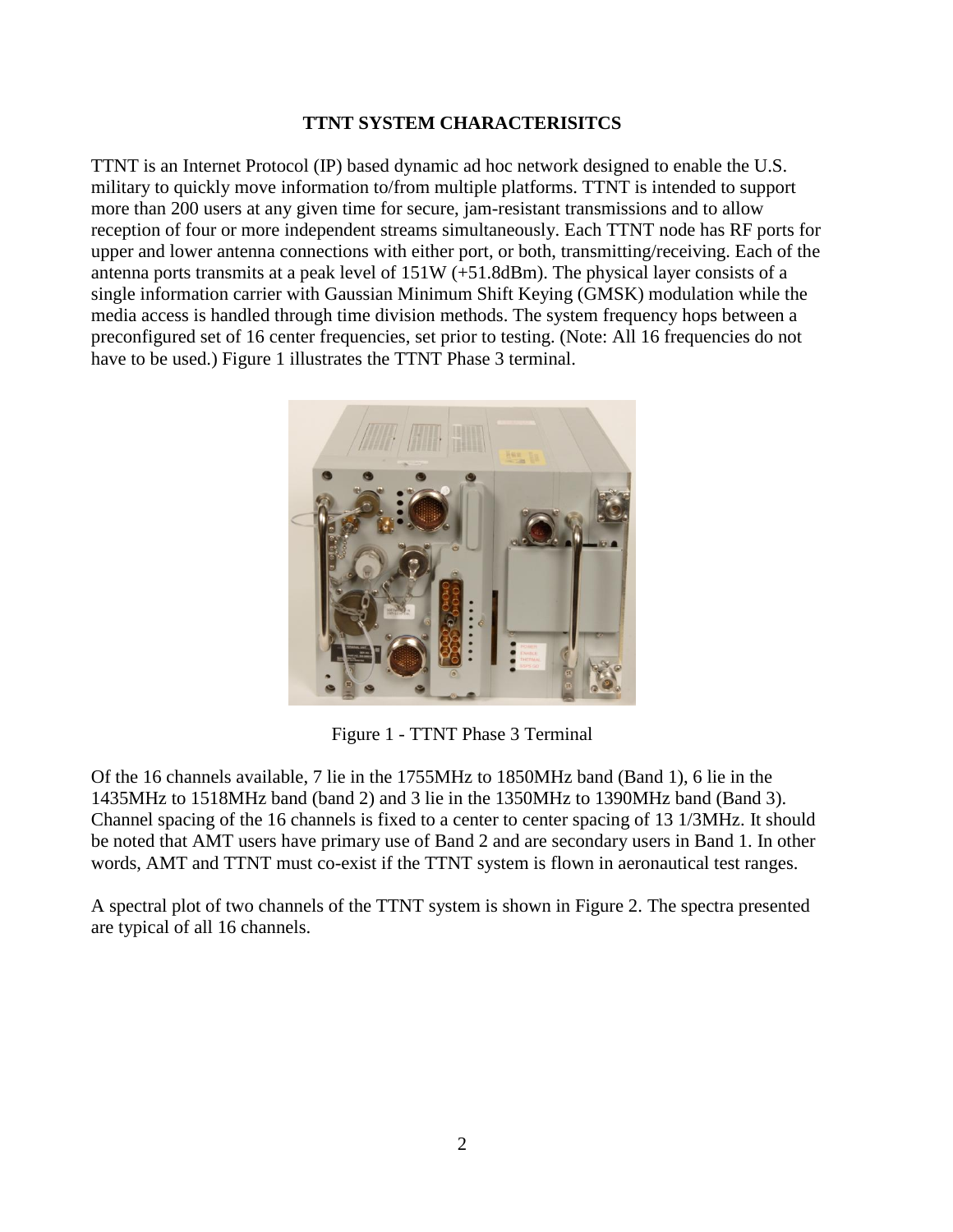# **TTNT SYSTEM CHARACTERISITCS**

TTNT is an Internet Protocol (IP) based dynamic ad hoc network designed to enable the U.S. military to quickly move information to/from multiple platforms. TTNT is intended to support more than 200 users at any given time for secure, jam-resistant transmissions and to allow reception of four or more independent streams simultaneously. Each TTNT node has RF ports for upper and lower antenna connections with either port, or both, transmitting/receiving. Each of the antenna ports transmits at a peak level of 151W (+51.8dBm). The physical layer consists of a single information carrier with Gaussian Minimum Shift Keying (GMSK) modulation while the media access is handled through time division methods. The system frequency hops between a preconfigured set of 16 center frequencies, set prior to testing. (Note: All 16 frequencies do not have to be used.) Figure 1 illustrates the TTNT Phase 3 terminal.



Figure 1 - TTNT Phase 3 Terminal

Of the 16 channels available, 7 lie in the 1755MHz to 1850MHz band (Band 1), 6 lie in the 1435MHz to 1518MHz band (band 2) and 3 lie in the 1350MHz to 1390MHz band (Band 3). Channel spacing of the 16 channels is fixed to a center to center spacing of 13 1/3MHz. It should be noted that AMT users have primary use of Band 2 and are secondary users in Band 1. In other words, AMT and TTNT must co-exist if the TTNT system is flown in aeronautical test ranges.

A spectral plot of two channels of the TTNT system is shown in Figure 2. The spectra presented are typical of all 16 channels.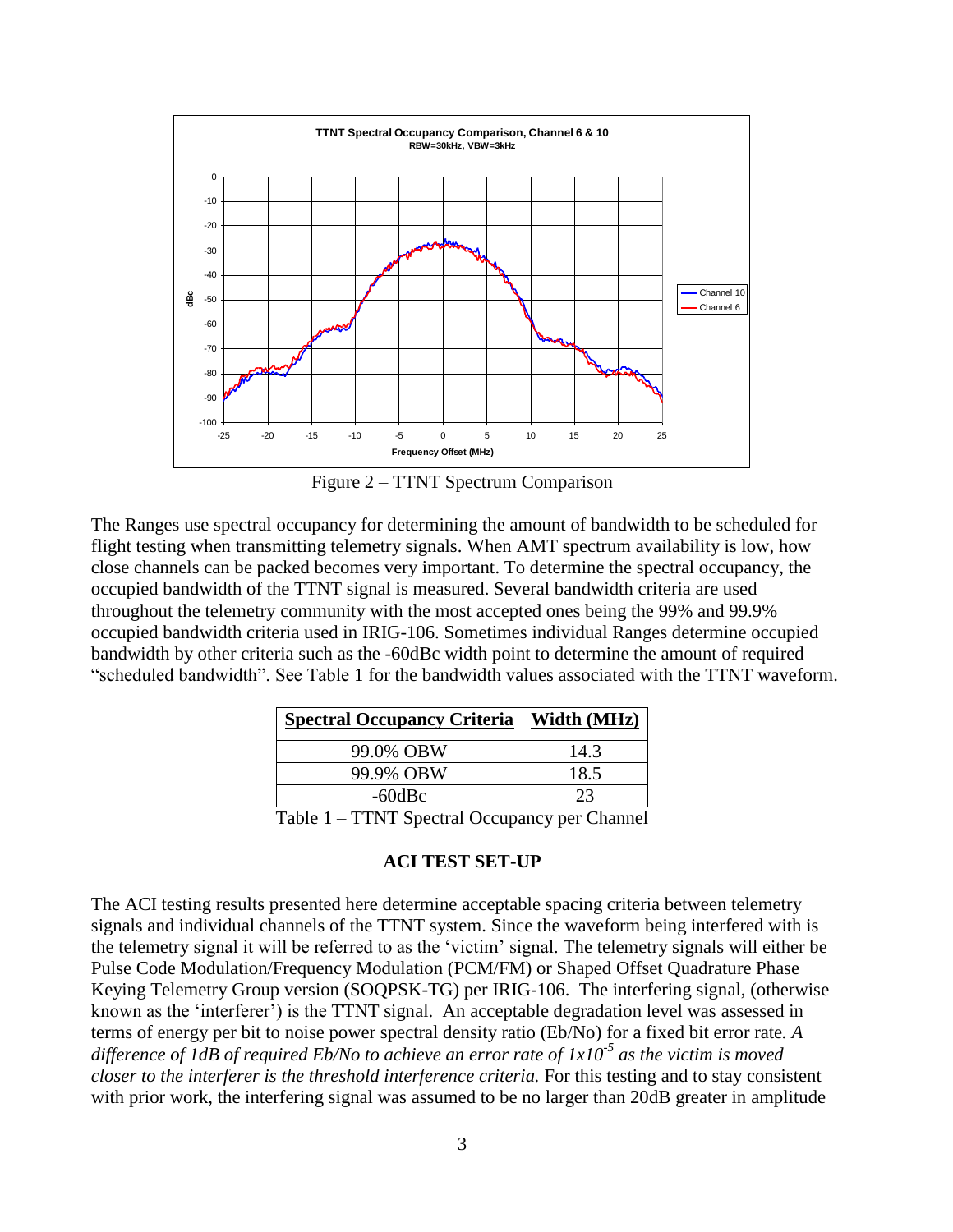

Figure 2 – TTNT Spectrum Comparison

The Ranges use spectral occupancy for determining the amount of bandwidth to be scheduled for flight testing when transmitting telemetry signals. When AMT spectrum availability is low, how close channels can be packed becomes very important. To determine the spectral occupancy, the occupied bandwidth of the TTNT signal is measured. Several bandwidth criteria are used throughout the telemetry community with the most accepted ones being the 99% and 99.9% occupied bandwidth criteria used in IRIG-106. Sometimes individual Ranges determine occupied bandwidth by other criteria such as the -60dBc width point to determine the amount of required "scheduled bandwidth". See Table 1 for the bandwidth values associated with the TTNT waveform.

| <b>Spectral Occupancy Criteria</b>            | Width (MHz) |
|-----------------------------------------------|-------------|
| 99.0% OBW                                     | 14.3        |
| 99.9% OBW                                     | 18.5        |
| $-60$ d $Bc$                                  | 23          |
| Table 1 – TTNT Spectral Occupancy per Channel |             |

### **ACI TEST SET-UP**

The ACI testing results presented here determine acceptable spacing criteria between telemetry signals and individual channels of the TTNT system. Since the waveform being interfered with is the telemetry signal it will be referred to as the "victim" signal. The telemetry signals will either be Pulse Code Modulation/Frequency Modulation (PCM/FM) or Shaped Offset Quadrature Phase Keying Telemetry Group version (SOQPSK-TG) per IRIG-106. The interfering signal, (otherwise known as the "interferer") is the TTNT signal. An acceptable degradation level was assessed in terms of energy per bit to noise power spectral density ratio (Eb/No) for a fixed bit error rate*. A difference of 1dB of required Eb/No to achieve an error rate of 1x10-5 as the victim is moved closer to the interferer is the threshold interference criteria.* For this testing and to stay consistent with prior work, the interfering signal was assumed to be no larger than 20dB greater in amplitude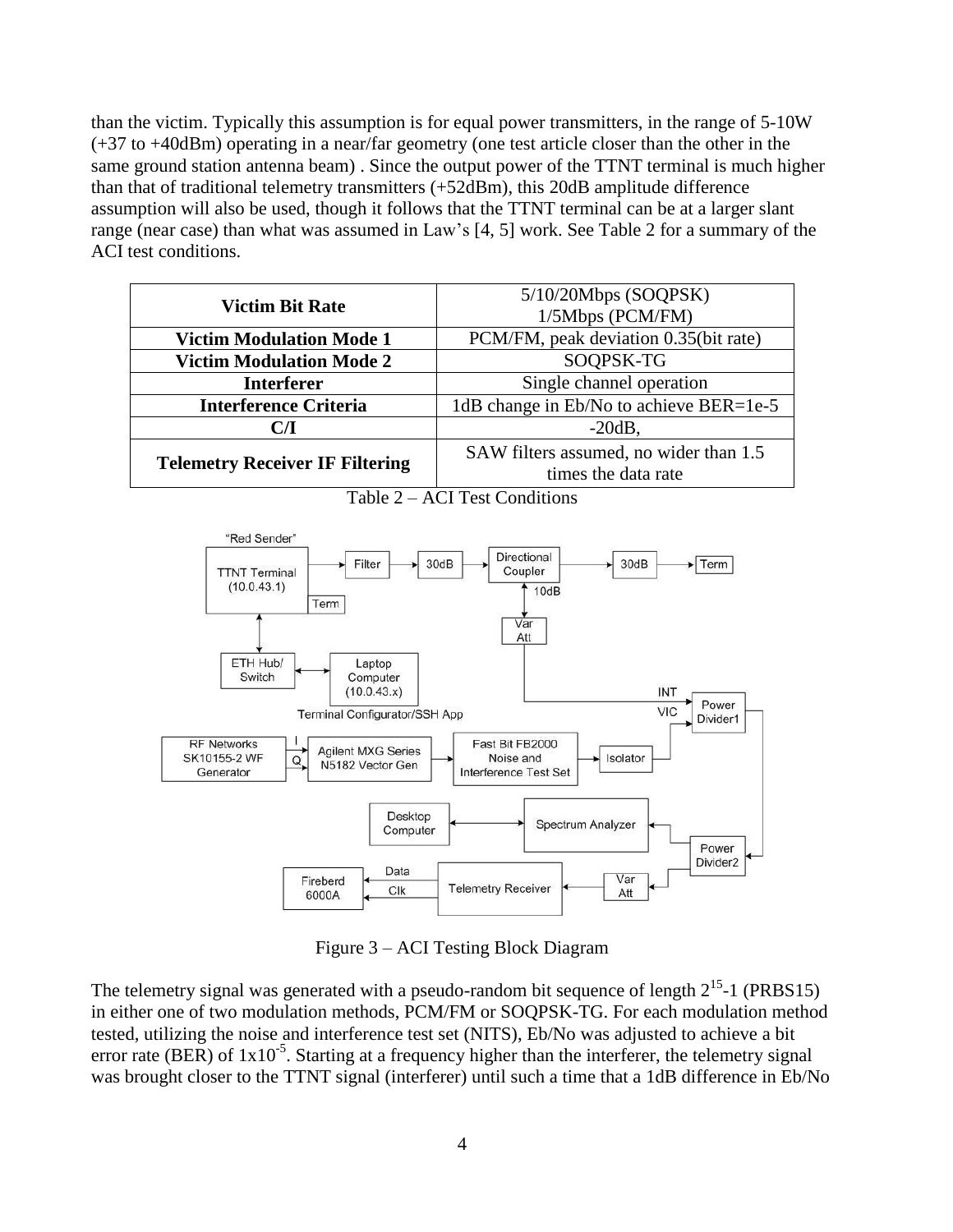than the victim. Typically this assumption is for equal power transmitters, in the range of 5-10W (+37 to +40dBm) operating in a near/far geometry (one test article closer than the other in the same ground station antenna beam) . Since the output power of the TTNT terminal is much higher than that of traditional telemetry transmitters (+52dBm), this 20dB amplitude difference assumption will also be used, though it follows that the TTNT terminal can be at a larger slant range (near case) than what was assumed in Law"s [4, 5] work. See Table 2 for a summary of the ACI test conditions.

| <b>Victim Bit Rate</b>                 | $5/10/20Mbps$ (SOQPSK)                  |  |
|----------------------------------------|-----------------------------------------|--|
|                                        | 1/5Mbps (PCM/FM)                        |  |
| <b>Victim Modulation Mode 1</b>        | PCM/FM, peak deviation 0.35(bit rate)   |  |
| <b>Victim Modulation Mode 2</b>        | SOQPSK-TG                               |  |
| <b>Interferer</b>                      | Single channel operation                |  |
| <b>Interference Criteria</b>           | 1dB change in Eb/No to achieve BER=1e-5 |  |
| CЛ                                     | $-20dB$ ,                               |  |
|                                        | SAW filters assumed, no wider than 1.5  |  |
| <b>Telemetry Receiver IF Filtering</b> | times the data rate                     |  |



Table 2 – ACI Test Conditions

Figure 3 – ACI Testing Block Diagram

The telemetry signal was generated with a pseudo-random bit sequence of length  $2^{15}$ -1 (PRBS15) in either one of two modulation methods, PCM/FM or SOQPSK-TG. For each modulation method tested, utilizing the noise and interference test set (NITS), Eb/No was adjusted to achieve a bit error rate (BER) of  $1x10^{-5}$ . Starting at a frequency higher than the interferer, the telemetry signal was brought closer to the TTNT signal (interferer) until such a time that a 1dB difference in Eb/No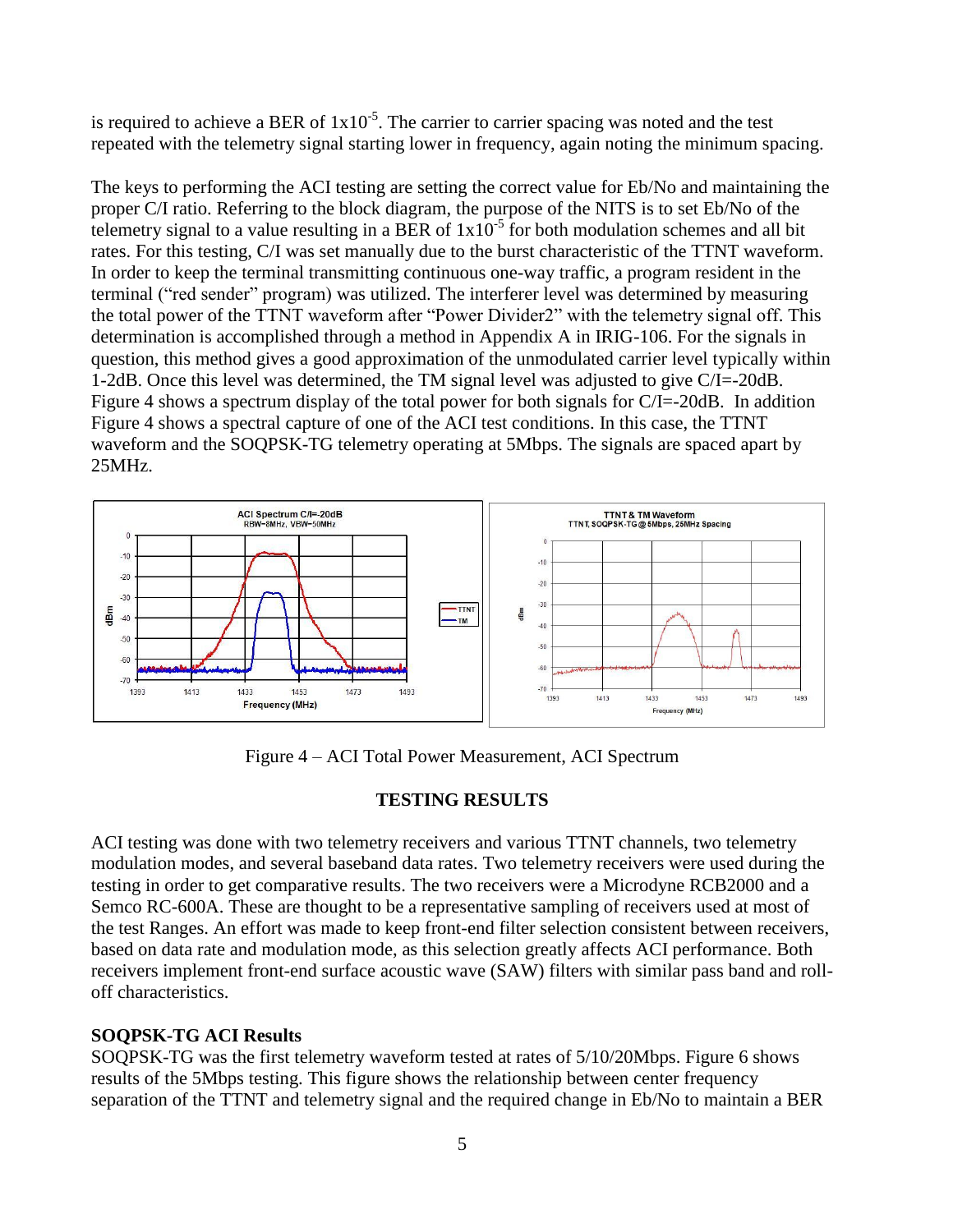is required to achieve a BER of  $1x10^{-5}$ . The carrier to carrier spacing was noted and the test repeated with the telemetry signal starting lower in frequency, again noting the minimum spacing.

The keys to performing the ACI testing are setting the correct value for Eb/No and maintaining the proper C/I ratio. Referring to the block diagram, the purpose of the NITS is to set Eb/No of the telemetry signal to a value resulting in a BER of  $1x10^{-5}$  for both modulation schemes and all bit rates. For this testing, C/I was set manually due to the burst characteristic of the TTNT waveform. In order to keep the terminal transmitting continuous one-way traffic, a program resident in the terminal ("red sender" program) was utilized. The interferer level was determined by measuring the total power of the TTNT waveform after "Power Divider2" with the telemetry signal off. This determination is accomplished through a method in Appendix A in IRIG-106. For the signals in question, this method gives a good approximation of the unmodulated carrier level typically within 1-2dB. Once this level was determined, the TM signal level was adjusted to give C/I=-20dB. Figure 4 shows a spectrum display of the total power for both signals for C/I=-20dB. In addition Figure 4 shows a spectral capture of one of the ACI test conditions. In this case, the TTNT waveform and the SOQPSK-TG telemetry operating at 5Mbps. The signals are spaced apart by 25MHz.



Figure 4 – ACI Total Power Measurement, ACI Spectrum

# **TESTING RESULTS**

ACI testing was done with two telemetry receivers and various TTNT channels, two telemetry modulation modes, and several baseband data rates. Two telemetry receivers were used during the testing in order to get comparative results. The two receivers were a Microdyne RCB2000 and a Semco RC-600A. These are thought to be a representative sampling of receivers used at most of the test Ranges. An effort was made to keep front-end filter selection consistent between receivers, based on data rate and modulation mode, as this selection greatly affects ACI performance. Both receivers implement front-end surface acoustic wave (SAW) filters with similar pass band and rolloff characteristics.

# **SOQPSK-TG ACI Results**

SOQPSK-TG was the first telemetry waveform tested at rates of 5/10/20Mbps. Figure 6 shows results of the 5Mbps testing. This figure shows the relationship between center frequency separation of the TTNT and telemetry signal and the required change in Eb/No to maintain a BER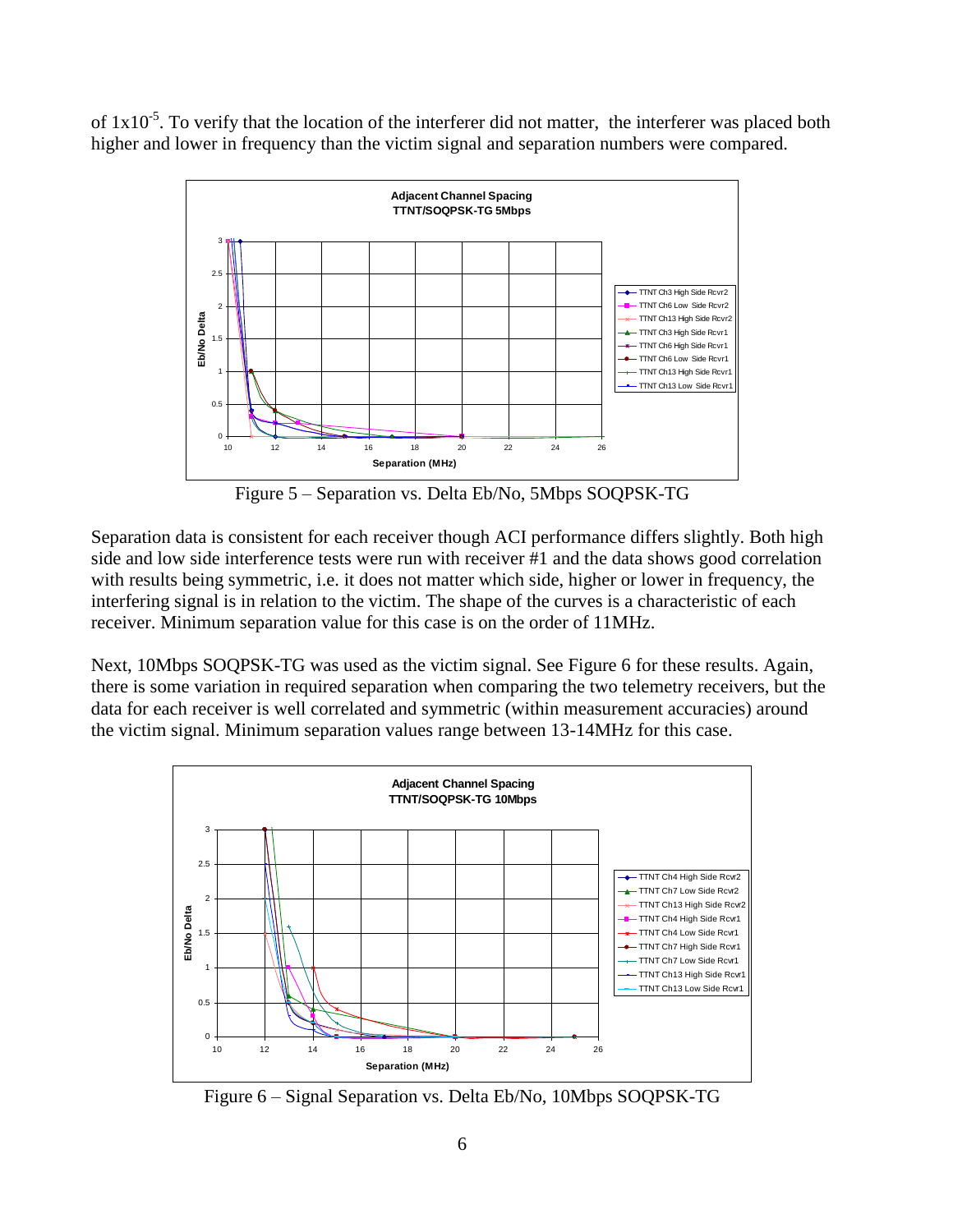of  $1x10^{-5}$ . To verify that the location of the interferer did not matter, the interferer was placed both higher and lower in frequency than the victim signal and separation numbers were compared.



Figure 5 – Separation vs. Delta Eb/No, 5Mbps SOQPSK-TG

Separation data is consistent for each receiver though ACI performance differs slightly. Both high side and low side interference tests were run with receiver #1 and the data shows good correlation with results being symmetric, i.e. it does not matter which side, higher or lower in frequency, the interfering signal is in relation to the victim. The shape of the curves is a characteristic of each receiver. Minimum separation value for this case is on the order of 11MHz.

Next, 10Mbps SOQPSK-TG was used as the victim signal. See Figure 6 for these results. Again, there is some variation in required separation when comparing the two telemetry receivers, but the data for each receiver is well correlated and symmetric (within measurement accuracies) around the victim signal. Minimum separation values range between 13-14MHz for this case.



Figure 6 – Signal Separation vs. Delta Eb/No, 10Mbps SOQPSK-TG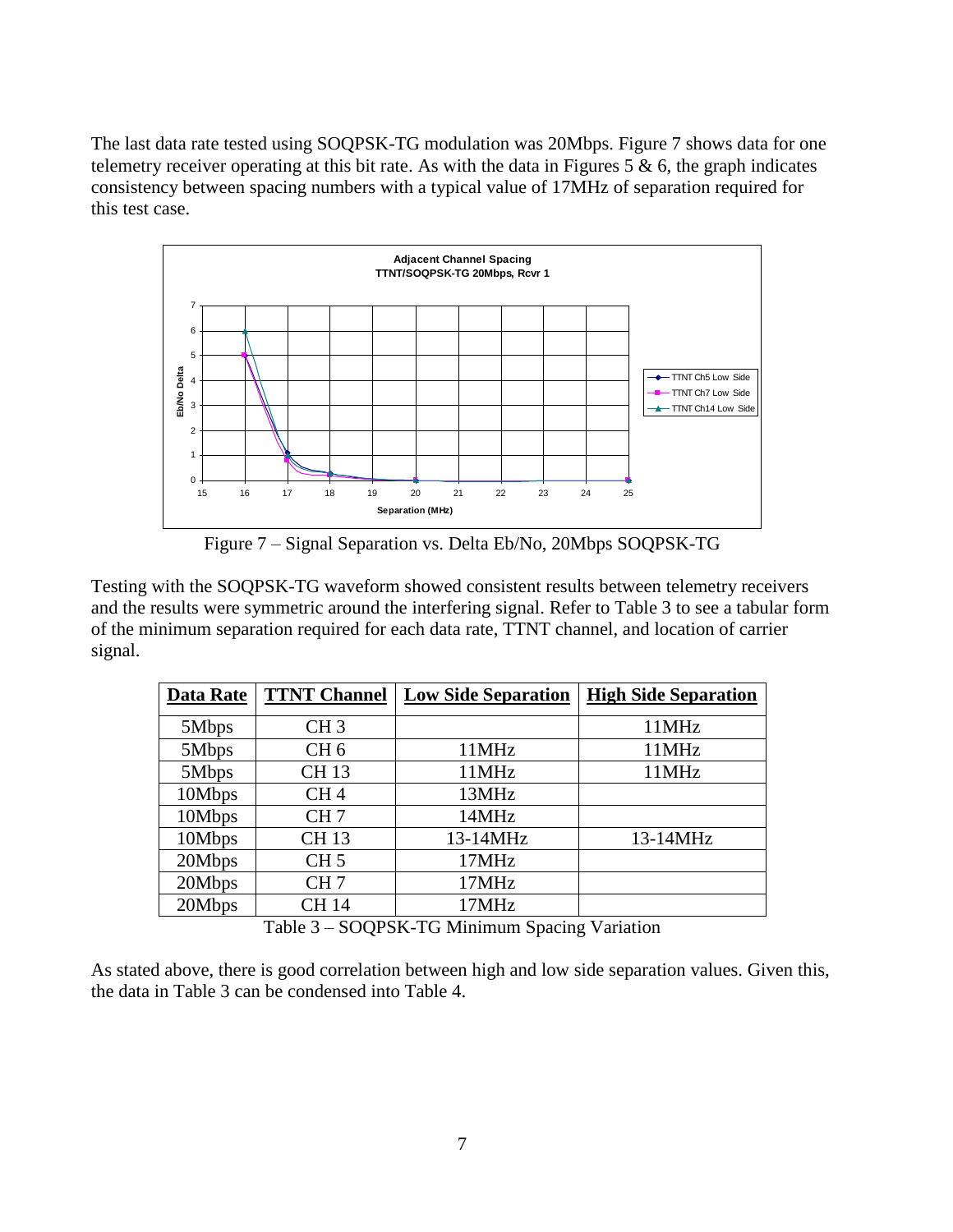The last data rate tested using SOQPSK-TG modulation was 20Mbps. Figure 7 shows data for one telemetry receiver operating at this bit rate. As with the data in Figures 5  $\&$  6, the graph indicates consistency between spacing numbers with a typical value of 17MHz of separation required for this test case.



Figure 7 – Signal Separation vs. Delta Eb/No, 20Mbps SOQPSK-TG

Testing with the SOQPSK-TG waveform showed consistent results between telemetry receivers and the results were symmetric around the interfering signal. Refer to Table 3 to see a tabular form of the minimum separation required for each data rate, TTNT channel, and location of carrier signal.

| <b>Data Rate</b>                                                                                                                                                                                                                   | <b>TTNT Channel</b> | <b>Low Side Separation</b> | <b>High Side Separation</b> |
|------------------------------------------------------------------------------------------------------------------------------------------------------------------------------------------------------------------------------------|---------------------|----------------------------|-----------------------------|
|                                                                                                                                                                                                                                    |                     |                            |                             |
| 5Mbps                                                                                                                                                                                                                              | CH <sub>3</sub>     |                            | 11MHz                       |
| 5Mbps                                                                                                                                                                                                                              | CH <sub>6</sub>     | 11MHz                      | 11MHz                       |
| 5Mbps                                                                                                                                                                                                                              | <b>CH13</b>         | 11MHz                      | 11MHz                       |
| 10Mbps                                                                                                                                                                                                                             | CH <sub>4</sub>     | 13MHz                      |                             |
| 10Mbps                                                                                                                                                                                                                             | CH <sub>7</sub>     | 14MHz                      |                             |
| 10Mbps                                                                                                                                                                                                                             | <b>CH13</b>         | 13-14MHz                   | 13-14MHz                    |
| 20Mbps                                                                                                                                                                                                                             | CH <sub>5</sub>     | 17MHz                      |                             |
| 20Mbps                                                                                                                                                                                                                             | CH <sub>7</sub>     | 17MHz                      |                             |
| 20Mbps                                                                                                                                                                                                                             | <b>CH14</b>         | 17MHz                      |                             |
| $\mathbf{m}$ $\mathbf{u}$ $\mathbf{a}$ $\mathbf{a}$ $\mathbf{a}$ $\mathbf{a}$ $\mathbf{v}$ $\mathbf{u}$ $\mathbf{v}$ $\mathbf{u}$ $\mathbf{v}$ $\mathbf{v}$ $\mathbf{v}$<br>$\mathbf{r}$ $\mathbf{r}$<br>$\cdot$ $\cdot$<br>$\sim$ |                     |                            |                             |

Table 3 – SOQPSK-TG Minimum Spacing Variation

As stated above, there is good correlation between high and low side separation values. Given this, the data in Table 3 can be condensed into Table 4.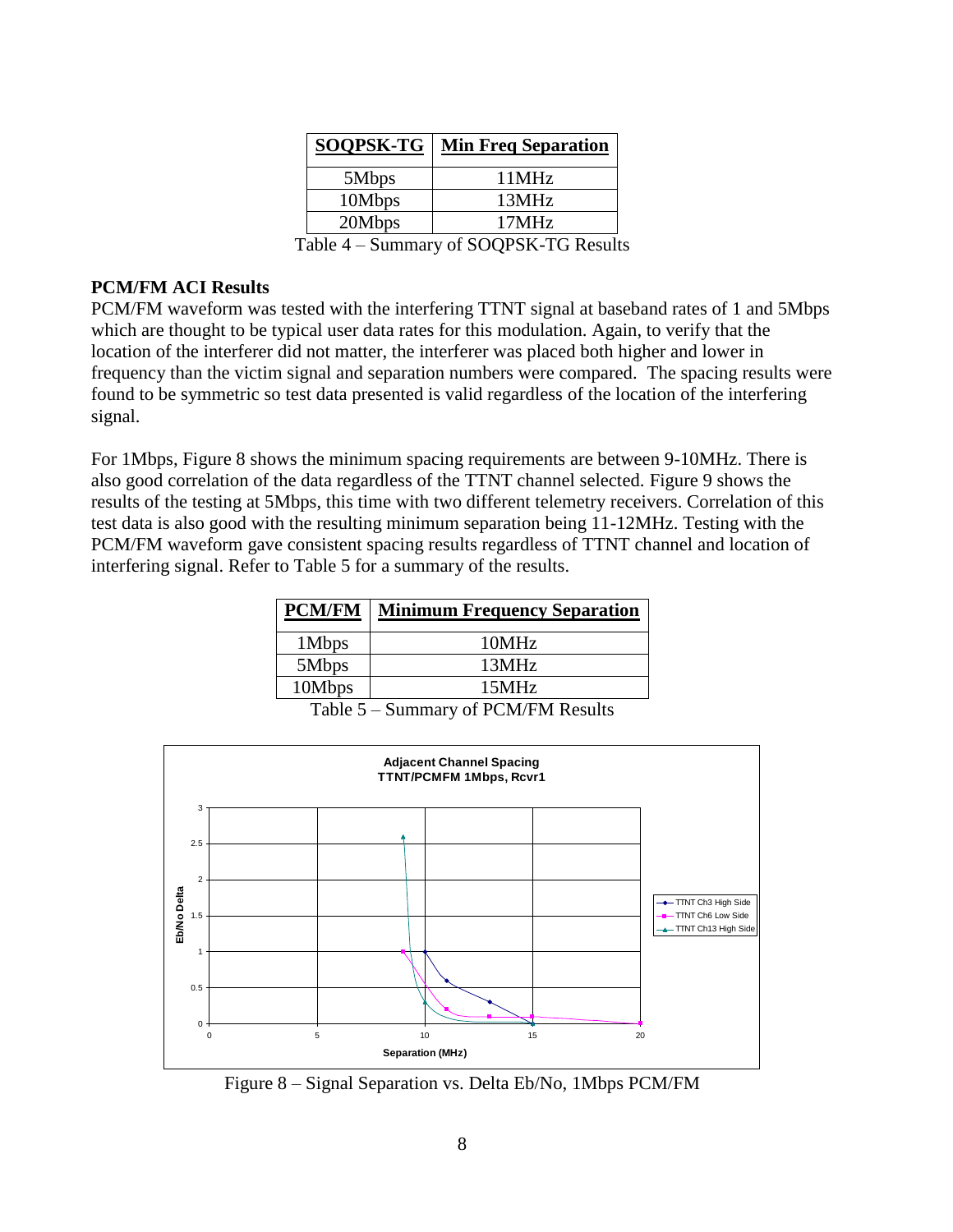| <b>SOQPSK-TG</b> | <b>Min Freq Separation</b> |
|------------------|----------------------------|
| 5Mbps            | 11MHz                      |
| 10Mbps           | 13MHz                      |
| 20Mbps           | 17MHz                      |

Table 4 – Summary of SOQPSK-TG Results

# **PCM/FM ACI Results**

PCM/FM waveform was tested with the interfering TTNT signal at baseband rates of 1 and 5Mbps which are thought to be typical user data rates for this modulation. Again, to verify that the location of the interferer did not matter, the interferer was placed both higher and lower in frequency than the victim signal and separation numbers were compared. The spacing results were found to be symmetric so test data presented is valid regardless of the location of the interfering signal.

For 1Mbps, Figure 8 shows the minimum spacing requirements are between 9-10MHz. There is also good correlation of the data regardless of the TTNT channel selected. Figure 9 shows the results of the testing at 5Mbps, this time with two different telemetry receivers. Correlation of this test data is also good with the resulting minimum separation being 11-12MHz. Testing with the PCM/FM waveform gave consistent spacing results regardless of TTNT channel and location of interfering signal. Refer to Table 5 for a summary of the results.

| <b>PCM/FM</b> | <b>Minimum Frequency Separation</b> |
|---------------|-------------------------------------|
| 1Mbps         | 10MHz                               |
| 5Mbps         | 13MHz                               |
| 10Mbps        | 15MHz                               |

Table 5 – Summary of PCM/FM Results



Figure 8 – Signal Separation vs. Delta Eb/No, 1Mbps PCM/FM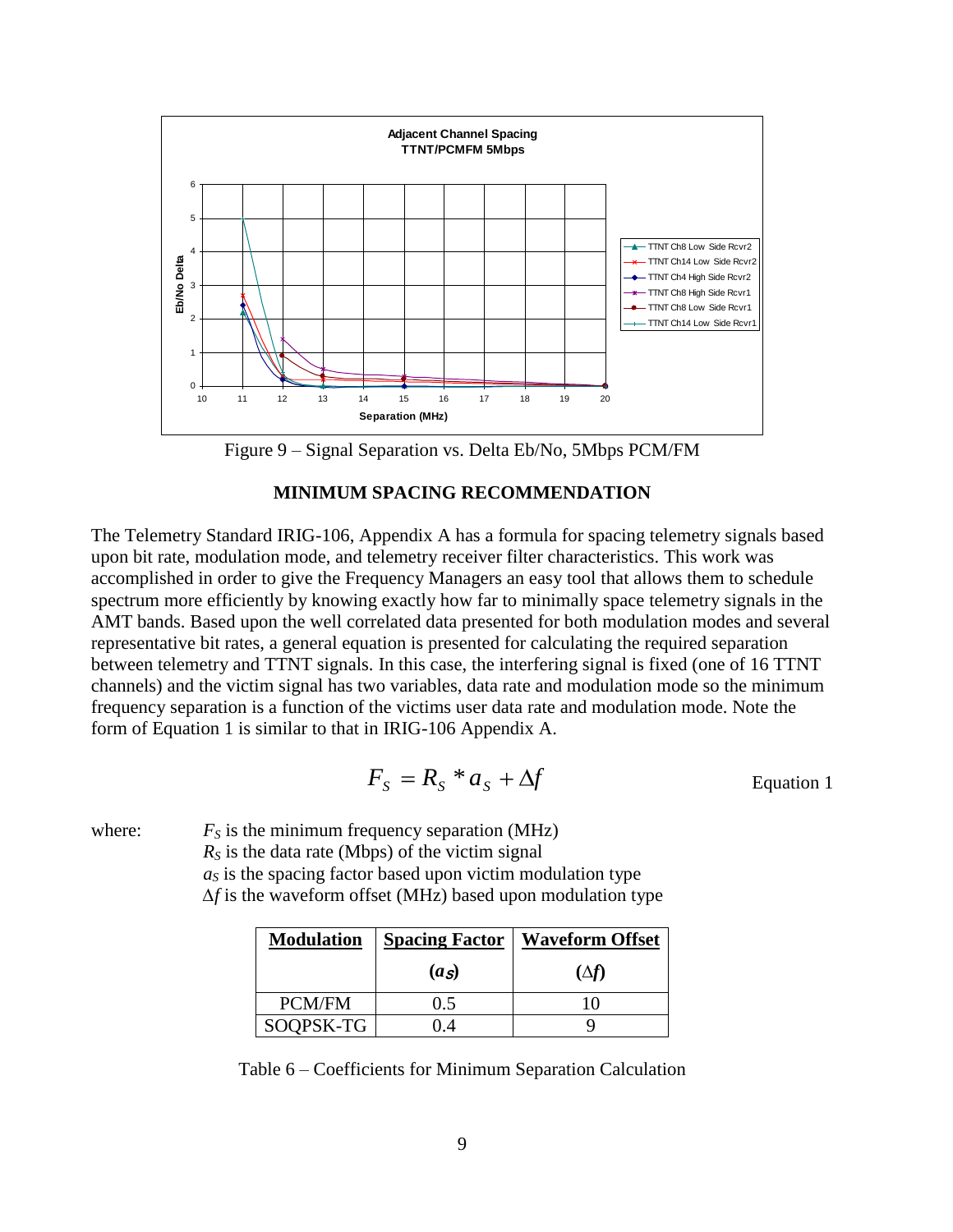

Figure 9 – Signal Separation vs. Delta Eb/No, 5Mbps PCM/FM

### **MINIMUM SPACING RECOMMENDATION**

The Telemetry Standard IRIG-106, Appendix A has a formula for spacing telemetry signals based upon bit rate, modulation mode, and telemetry receiver filter characteristics. This work was accomplished in order to give the Frequency Managers an easy tool that allows them to schedule spectrum more efficiently by knowing exactly how far to minimally space telemetry signals in the AMT bands. Based upon the well correlated data presented for both modulation modes and several representative bit rates, a general equation is presented for calculating the required separation between telemetry and TTNT signals. In this case, the interfering signal is fixed (one of 16 TTNT channels) and the victim signal has two variables, data rate and modulation mode so the minimum frequency separation is a function of the victims user data rate and modulation mode. Note the form of Equation 1 is similar to that in IRIG-106 Appendix A.

$$
F_S = R_S * a_S + \Delta f
$$
 Equation 1

where:  $F<sub>S</sub>$  is the minimum frequency separation (MHz)

 $R<sub>S</sub>$  is the data rate (Mbps) of the victim signal

 $a<sub>S</sub>$  is the spacing factor based upon victim modulation type *∆f* is the waveform offset (MHz) based upon modulation type

| <b>Modulation</b> | <b>Spacing Factor</b> | <b>Waveform Offset</b> |
|-------------------|-----------------------|------------------------|
|                   | (a <sub>S</sub> )     | $(\Delta f)$           |
| <b>PCM/FM</b>     | 0.5                   |                        |
| SOQPSK-TG         |                       |                        |

Table 6 – Coefficients for Minimum Separation Calculation